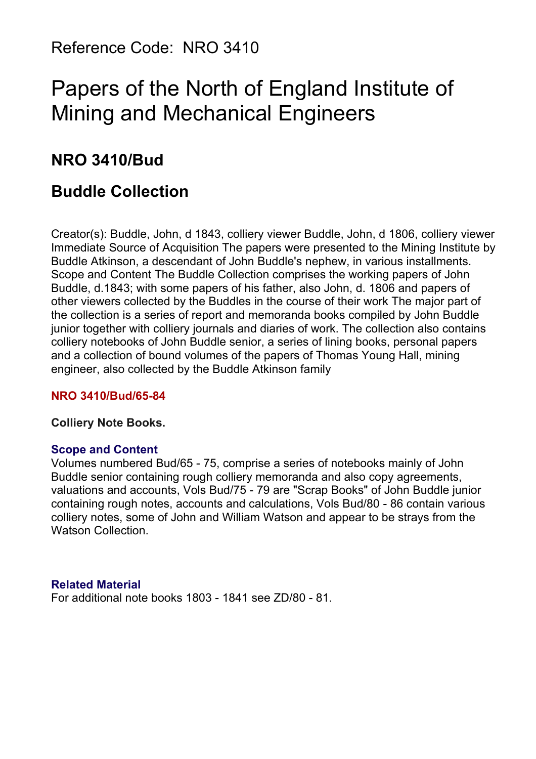# Papers of the North of England Institute of Mining and Mechanical Engineers

## **NRO 3410/Bud**

## **Buddle Collection**

Creator(s): Buddle, John, d 1843, colliery viewer Buddle, John, d 1806, colliery viewer Immediate Source of Acquisition The papers were presented to the Mining Institute by Buddle Atkinson, a descendant of John Buddle's nephew, in various installments. Scope and Content The Buddle Collection comprises the working papers of John Buddle, d.1843; with some papers of his father, also John, d. 1806 and papers of other viewers collected by the Buddles in the course of their work The major part of the collection is a series of report and memoranda books compiled by John Buddle junior together with colliery journals and diaries of work. The collection also contains colliery notebooks of John Buddle senior, a series of lining books, personal papers and a collection of bound volumes of the papers of Thomas Young Hall, mining engineer, also collected by the Buddle Atkinson family

#### **NRO 3410/Bud/65-84**

#### **Colliery Note Books.**

#### **Scope and Content**

Volumes numbered Bud/65 - 75, comprise a series of notebooks mainly of John Buddle senior containing rough colliery memoranda and also copy agreements, valuations and accounts, Vols Bud/75 - 79 are "Scrap Books" of John Buddle junior containing rough notes, accounts and calculations, Vols Bud/80 - 86 contain various colliery notes, some of John and William Watson and appear to be strays from the Watson Collection.

#### **Related Material**

For additional note books 1803 - 1841 see ZD/80 - 81.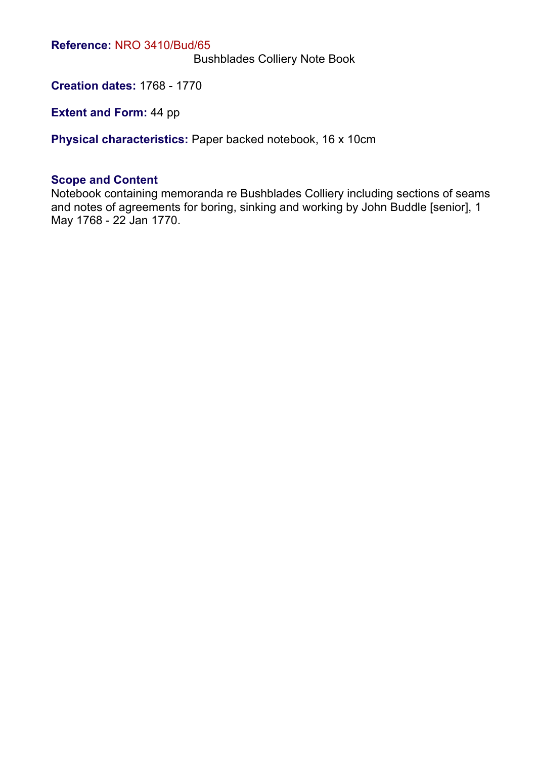Bushblades Colliery Note Book

**Creation dates:** 1768 - 1770

**Extent and Form:** 44 pp

**Physical characteristics:** Paper backed notebook, 16 x 10cm

#### **Scope and Content**

Notebook containing memoranda re Bushblades Colliery including sections of seams and notes of agreements for boring, sinking and working by John Buddle [senior], 1 May 1768 - 22 Jan 1770.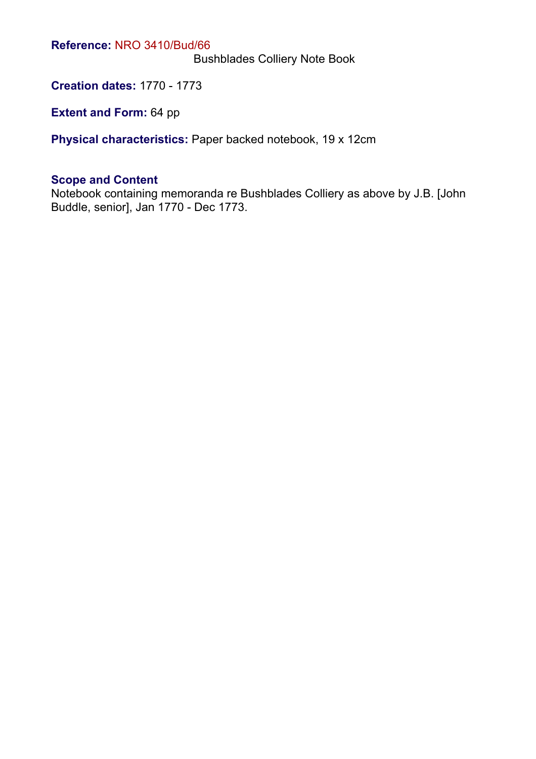Bushblades Colliery Note Book

**Creation dates:** 1770 - 1773

**Extent and Form: 64 pp** 

**Physical characteristics:** Paper backed notebook, 19 x 12cm

#### **Scope and Content**

Notebook containing memoranda re Bushblades Colliery as above by J.B. [John Buddle, senior], Jan 1770 - Dec 1773.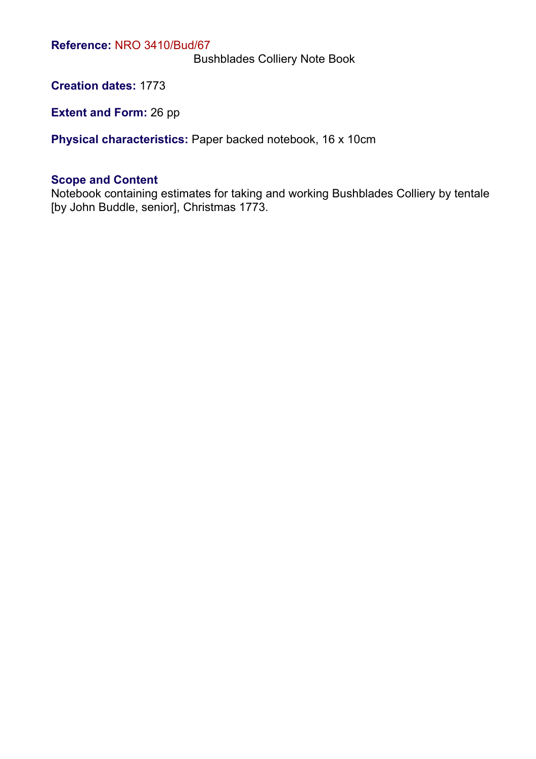Bushblades Colliery Note Book

**Creation dates:** 1773

**Extent and Form: 26 pp** 

**Physical characteristics:** Paper backed notebook, 16 x 10cm

#### **Scope and Content**

Notebook containing estimates for taking and working Bushblades Colliery by tentale [by John Buddle, senior], Christmas 1773.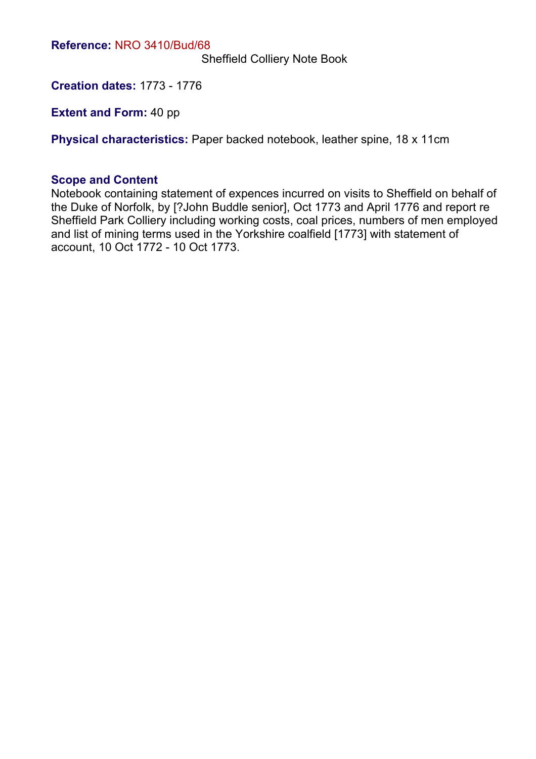Sheffield Colliery Note Book

**Creation dates:** 1773 - 1776

**Extent and Form:** 40 pp

**Physical characteristics:** Paper backed notebook, leather spine, 18 x 11cm

#### **Scope and Content**

Notebook containing statement of expences incurred on visits to Sheffield on behalf of the Duke of Norfolk, by [?John Buddle senior], Oct 1773 and April 1776 and report re Sheffield Park Colliery including working costs, coal prices, numbers of men employed and list of mining terms used in the Yorkshire coalfield [1773] with statement of account, 10 Oct 1772 - 10 Oct 1773.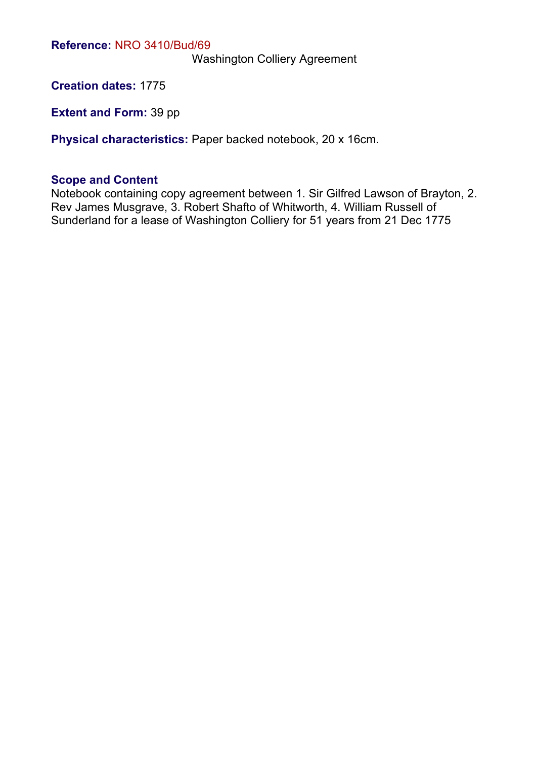Washington Colliery Agreement

**Creation dates:** 1775

**Extent and Form:** 39 pp

**Physical characteristics:** Paper backed notebook, 20 x 16cm.

#### **Scope and Content**

Notebook containing copy agreement between 1. Sir Gilfred Lawson of Brayton, 2. Rev James Musgrave, 3. Robert Shafto of Whitworth, 4. William Russell of Sunderland for a lease of Washington Colliery for 51 years from 21 Dec 1775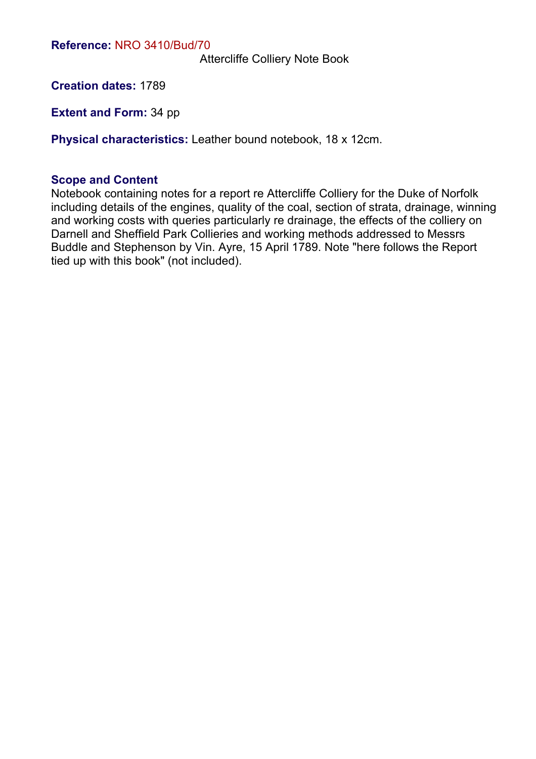Attercliffe Colliery Note Book

**Creation dates:** 1789

**Extent and Form:** 34 pp

**Physical characteristics:** Leather bound notebook, 18 x 12cm.

#### **Scope and Content**

Notebook containing notes for a report re Attercliffe Colliery for the Duke of Norfolk including details of the engines, quality of the coal, section of strata, drainage, winning and working costs with queries particularly re drainage, the effects of the colliery on Darnell and Sheffield Park Collieries and working methods addressed to Messrs Buddle and Stephenson by Vin. Ayre, 15 April 1789. Note "here follows the Report tied up with this book" (not included).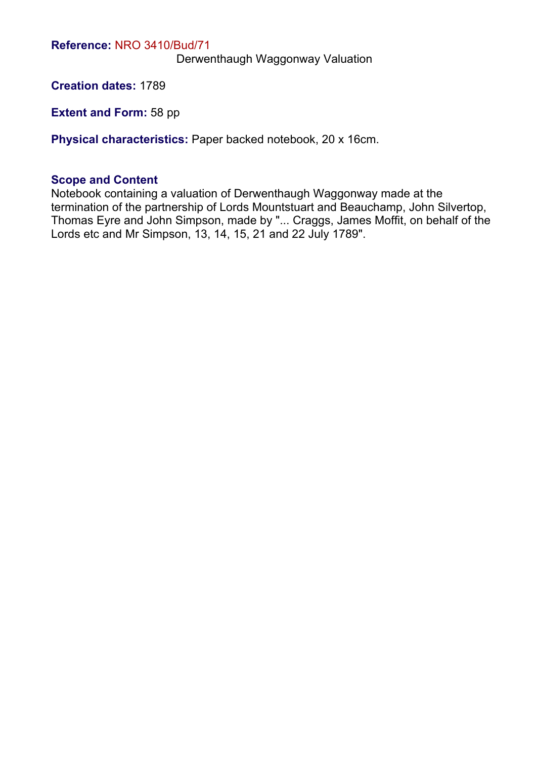Derwenthaugh Waggonway Valuation

**Creation dates:** 1789

**Extent and Form:** 58 pp

**Physical characteristics:** Paper backed notebook, 20 x 16cm.

#### **Scope and Content**

Notebook containing a valuation of Derwenthaugh Waggonway made at the termination of the partnership of Lords Mountstuart and Beauchamp, John Silvertop, Thomas Eyre and John Simpson, made by "... Craggs, James Moffit, on behalf of the Lords etc and Mr Simpson, 13, 14, 15, 21 and 22 July 1789".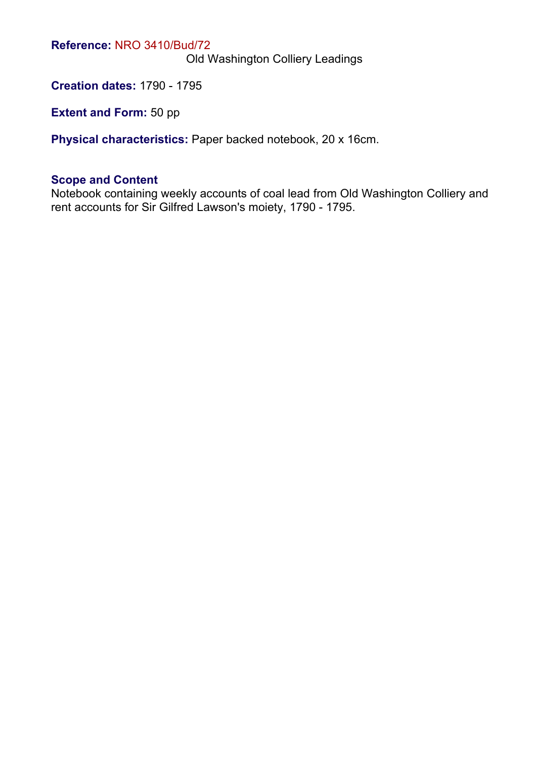Old Washington Colliery Leadings

**Creation dates:** 1790 - 1795

**Extent and Form:** 50 pp

**Physical characteristics:** Paper backed notebook, 20 x 16cm.

#### **Scope and Content**

Notebook containing weekly accounts of coal lead from Old Washington Colliery and rent accounts for Sir Gilfred Lawson's moiety, 1790 - 1795.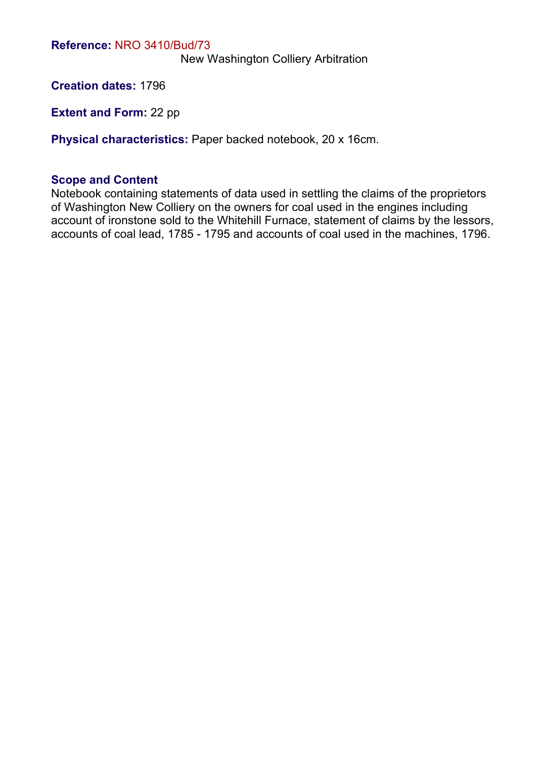New Washington Colliery Arbitration

**Creation dates:** 1796

**Extent and Form:** 22 pp

**Physical characteristics:** Paper backed notebook, 20 x 16cm.

#### **Scope and Content**

Notebook containing statements of data used in settling the claims of the proprietors of Washington New Colliery on the owners for coal used in the engines including account of ironstone sold to the Whitehill Furnace, statement of claims by the lessors, accounts of coal lead, 1785 - 1795 and accounts of coal used in the machines, 1796.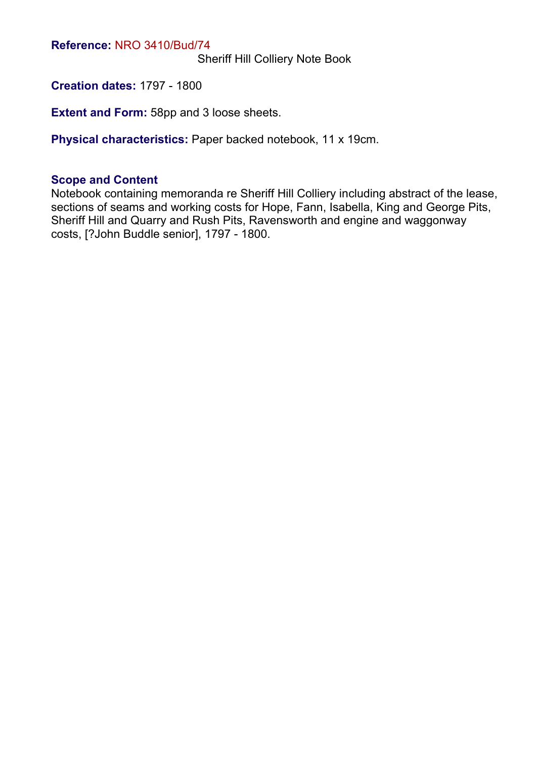Sheriff Hill Colliery Note Book

**Creation dates:** 1797 - 1800

**Extent and Form:** 58pp and 3 loose sheets.

**Physical characteristics:** Paper backed notebook, 11 x 19cm.

#### **Scope and Content**

Notebook containing memoranda re Sheriff Hill Colliery including abstract of the lease, sections of seams and working costs for Hope, Fann, Isabella, King and George Pits, Sheriff Hill and Quarry and Rush Pits, Ravensworth and engine and waggonway costs, [?John Buddle senior], 1797 - 1800.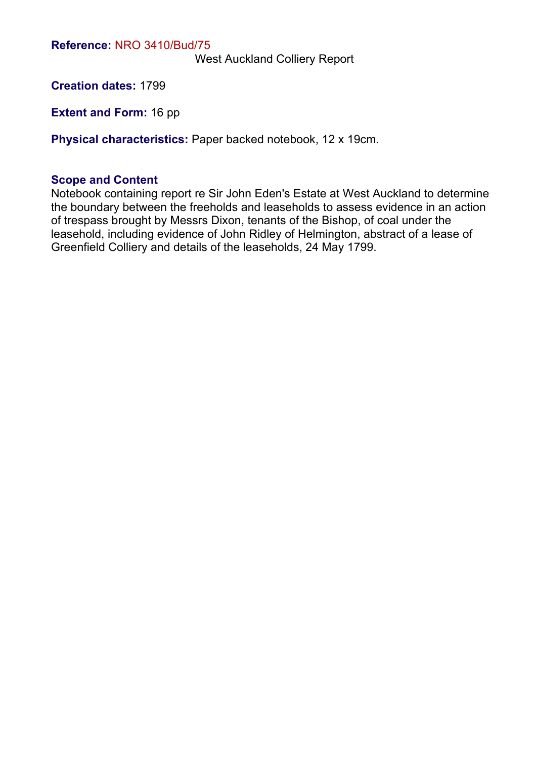West Auckland Colliery Report

**Creation dates:** 1799

**Extent and Form:** 16 pp

**Physical characteristics:** Paper backed notebook, 12 x 19cm.

#### **Scope and Content**

Notebook containing report re Sir John Eden's Estate at West Auckland to determine the boundary between the freeholds and leaseholds to assess evidence in an action of trespass brought by Messrs Dixon, tenants of the Bishop, of coal under the leasehold, including evidence of John Ridley of Helmington, abstract of a lease of Greenfield Colliery and details of the leaseholds, 24 May 1799.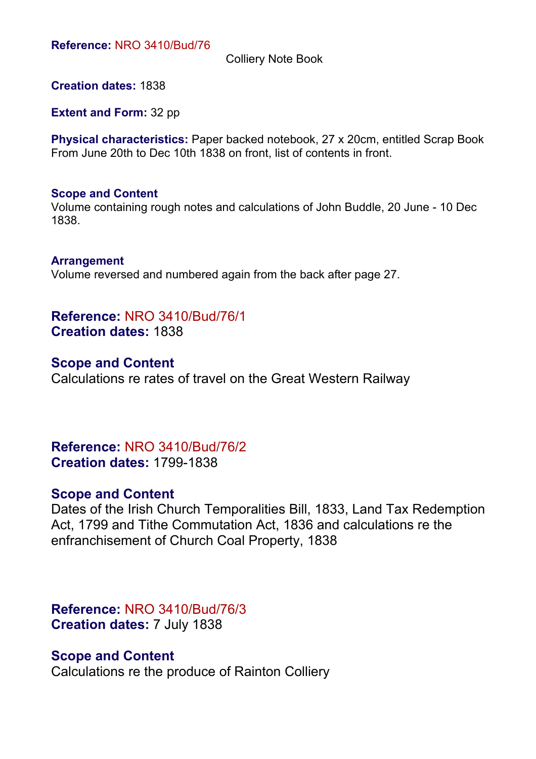Colliery Note Book

**Creation dates:** 1838

**Extent and Form:** 32 pp

**Physical characteristics:** Paper backed notebook, 27 x 20cm, entitled Scrap Book From June 20th to Dec 10th 1838 on front, list of contents in front.

#### **Scope and Content**

Volume containing rough notes and calculations of John Buddle, 20 June - 10 Dec 1838.

**Arrangement** Volume reversed and numbered again from the back after page 27.

**Reference:** NRO 3410/Bud/76/1 **Creation dates:** 1838

**Scope and Content** Calculations re rates of travel on the Great Western Railway

**Reference:** NRO 3410/Bud/76/2 **Creation dates:** 1799-1838

## **Scope and Content**

Dates of the Irish Church Temporalities Bill, 1833, Land Tax Redemption Act, 1799 and Tithe Commutation Act, 1836 and calculations re the enfranchisement of Church Coal Property, 1838

**Reference:** NRO 3410/Bud/76/3 **Creation dates:** 7 July 1838

## **Scope and Content**

Calculations re the produce of Rainton Colliery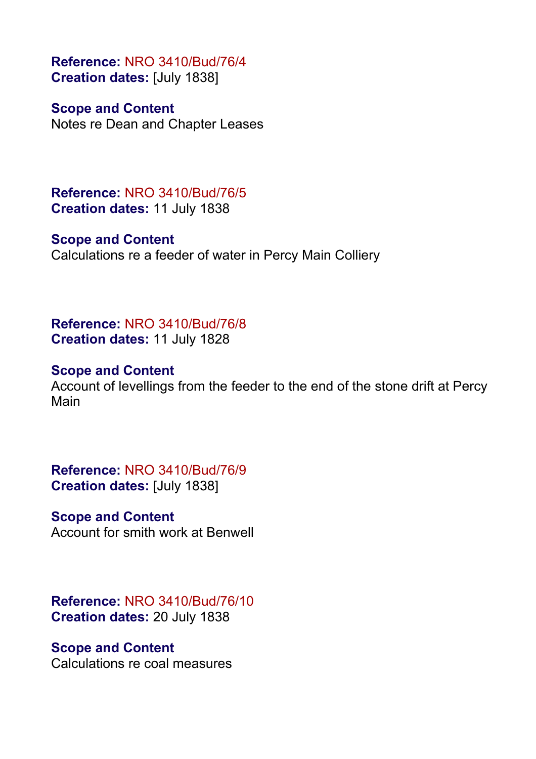**Reference:** NRO 3410/Bud/76/4 **Creation dates:** [July 1838]

**Scope and Content** Notes re Dean and Chapter Leases

**Reference:** NRO 3410/Bud/76/5 **Creation dates:** 11 July 1838

**Scope and Content** Calculations re a feeder of water in Percy Main Colliery

**Reference:** NRO 3410/Bud/76/8 **Creation dates:** 11 July 1828

## **Scope and Content**

Account of levellings from the feeder to the end of the stone drift at Percy Main

**Reference:** NRO 3410/Bud/76/9 **Creation dates:** [July 1838]

## **Scope and Content**

Account for smith work at Benwell

**Reference:** NRO 3410/Bud/76/10 **Creation dates:** 20 July 1838

## **Scope and Content**

Calculations re coal measures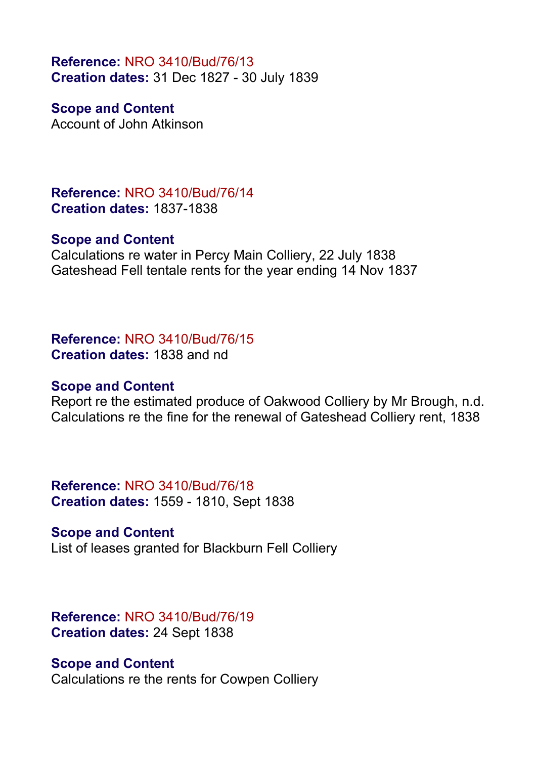**Reference:** NRO 3410/Bud/76/13 **Creation dates:** 31 Dec 1827 - 30 July 1839

**Scope and Content** Account of John Atkinson

**Reference:** NRO 3410/Bud/76/14 **Creation dates:** 1837-1838

#### **Scope and Content**

Calculations re water in Percy Main Colliery, 22 July 1838 Gateshead Fell tentale rents for the year ending 14 Nov 1837

**Reference:** NRO 3410/Bud/76/15 **Creation dates:** 1838 and nd

#### **Scope and Content**

Report re the estimated produce of Oakwood Colliery by Mr Brough, n.d. Calculations re the fine for the renewal of Gateshead Colliery rent, 1838

**Reference:** NRO 3410/Bud/76/18 **Creation dates:** 1559 - 1810, Sept 1838

#### **Scope and Content**

List of leases granted for Blackburn Fell Colliery

**Reference:** NRO 3410/Bud/76/19 **Creation dates:** 24 Sept 1838

#### **Scope and Content**

Calculations re the rents for Cowpen Colliery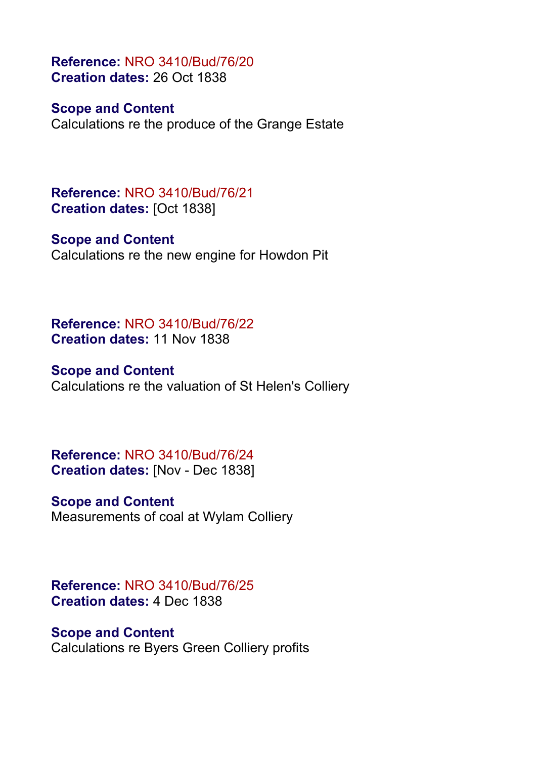**Reference:** NRO 3410/Bud/76/20 **Creation dates:** 26 Oct 1838

#### **Scope and Content**

Calculations re the produce of the Grange Estate

**Reference:** NRO 3410/Bud/76/21 **Creation dates:** [Oct 1838]

#### **Scope and Content**

Calculations re the new engine for Howdon Pit

**Reference:** NRO 3410/Bud/76/22 **Creation dates:** 11 Nov 1838

## **Scope and Content**

Calculations re the valuation of St Helen's Colliery

**Reference:** NRO 3410/Bud/76/24 **Creation dates:** [Nov - Dec 1838]

#### **Scope and Content**

Measurements of coal at Wylam Colliery

**Reference:** NRO 3410/Bud/76/25 **Creation dates:** 4 Dec 1838

## **Scope and Content**

Calculations re Byers Green Colliery profits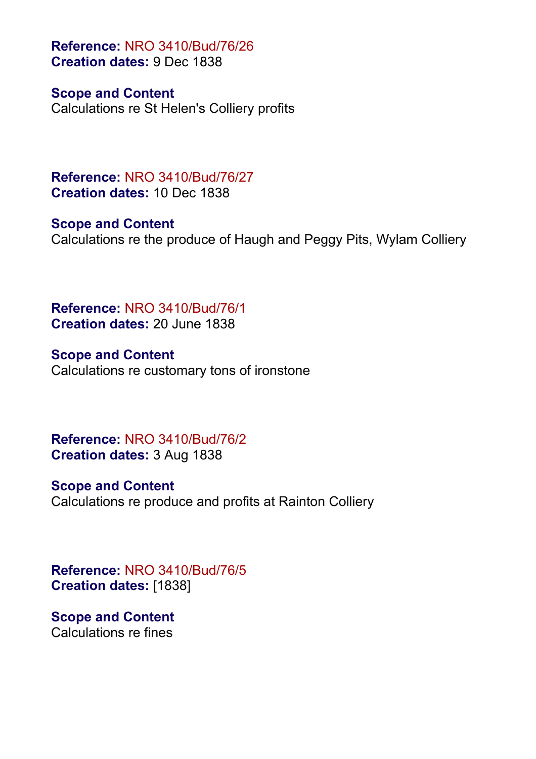**Reference:** NRO 3410/Bud/76/26 **Creation dates:** 9 Dec 1838

**Scope and Content**

Calculations re St Helen's Colliery profits

**Reference:** NRO 3410/Bud/76/27 **Creation dates:** 10 Dec 1838

**Scope and Content** Calculations re the produce of Haugh and Peggy Pits, Wylam Colliery

**Reference:** NRO 3410/Bud/76/1 **Creation dates:** 20 June 1838

**Scope and Content** Calculations re customary tons of ironstone

**Reference:** NRO 3410/Bud/76/2 **Creation dates:** 3 Aug 1838

**Scope and Content** Calculations re produce and profits at Rainton Colliery

**Reference:** NRO 3410/Bud/76/5 **Creation dates:** [1838]

**Scope and Content** Calculations re fines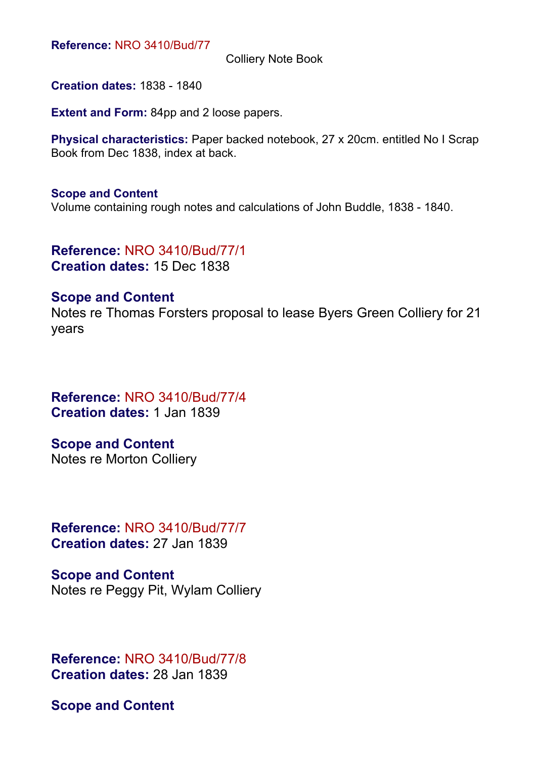Colliery Note Book

**Creation dates:** 1838 - 1840

**Extent and Form:** 84pp and 2 loose papers.

**Physical characteristics:** Paper backed notebook, 27 x 20cm. entitled No I Scrap Book from Dec 1838, index at back.

#### **Scope and Content**

Volume containing rough notes and calculations of John Buddle, 1838 - 1840.

**Reference:** NRO 3410/Bud/77/1 **Creation dates:** 15 Dec 1838

#### **Scope and Content**

Notes re Thomas Forsters proposal to lease Byers Green Colliery for 21 years

**Reference:** NRO 3410/Bud/77/4 **Creation dates:** 1 Jan 1839

**Scope and Content** Notes re Morton Colliery

**Reference:** NRO 3410/Bud/77/7 **Creation dates:** 27 Jan 1839

**Scope and Content** Notes re Peggy Pit, Wylam Colliery

**Reference:** NRO 3410/Bud/77/8 **Creation dates:** 28 Jan 1839

**Scope and Content**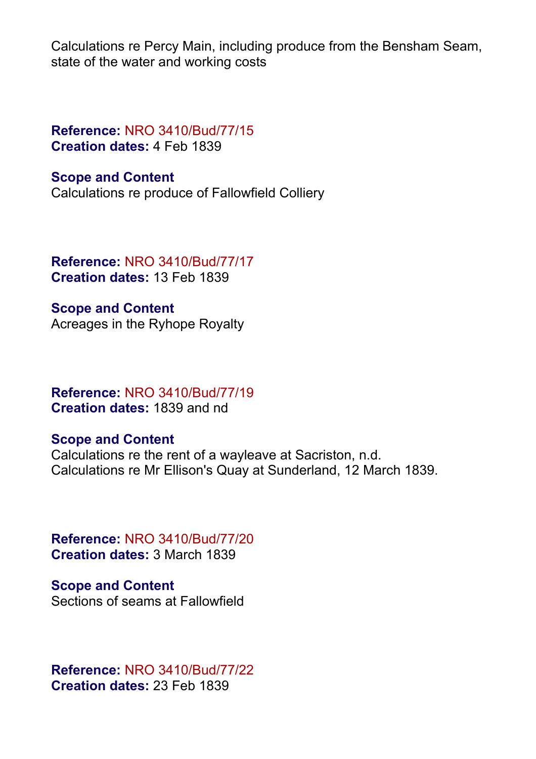Calculations re Percy Main, including produce from the Bensham Seam, state of the water and working costs

**Reference:** NRO 3410/Bud/77/15 **Creation dates:** 4 Feb 1839

**Scope and Content** Calculations re produce of Fallowfield Colliery

**Reference:** NRO 3410/Bud/77/17 **Creation dates:** 13 Feb 1839

**Scope and Content** Acreages in the Ryhope Royalty

**Reference:** NRO 3410/Bud/77/19 **Creation dates:** 1839 and nd

## **Scope and Content**

Calculations re the rent of a wayleave at Sacriston, n.d. Calculations re Mr Ellison's Quay at Sunderland, 12 March 1839.

**Reference:** NRO 3410/Bud/77/20 **Creation dates:** 3 March 1839

**Scope and Content** Sections of seams at Fallowfield

**Reference:** NRO 3410/Bud/77/22 **Creation dates:** 23 Feb 1839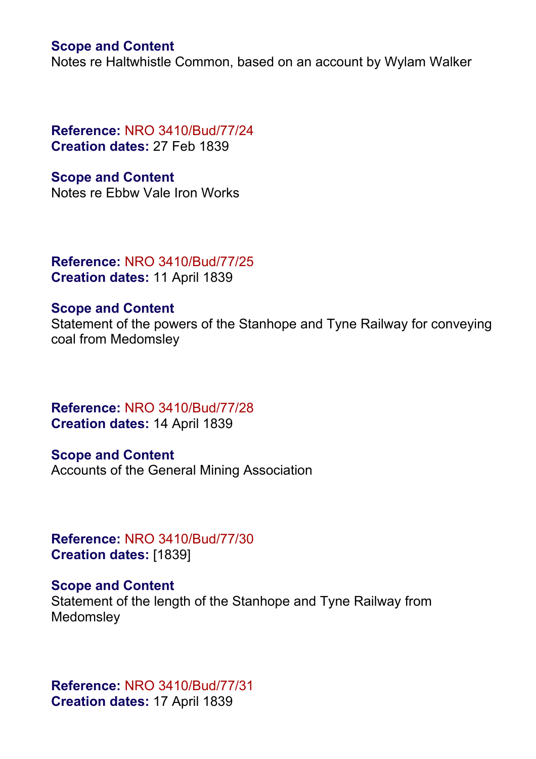Notes re Haltwhistle Common, based on an account by Wylam Walker

**Reference:** NRO 3410/Bud/77/24 **Creation dates:** 27 Feb 1839

**Scope and Content** Notes re Ebbw Vale Iron Works

**Reference:** NRO 3410/Bud/77/25 **Creation dates:** 11 April 1839

#### **Scope and Content**

Statement of the powers of the Stanhope and Tyne Railway for conveying coal from Medomsley

**Reference:** NRO 3410/Bud/77/28 **Creation dates:** 14 April 1839

**Scope and Content** Accounts of the General Mining Association

**Reference:** NRO 3410/Bud/77/30 **Creation dates:** [1839]

**Scope and Content**

Statement of the length of the Stanhope and Tyne Railway from Medomsley

**Reference:** NRO 3410/Bud/77/31 **Creation dates:** 17 April 1839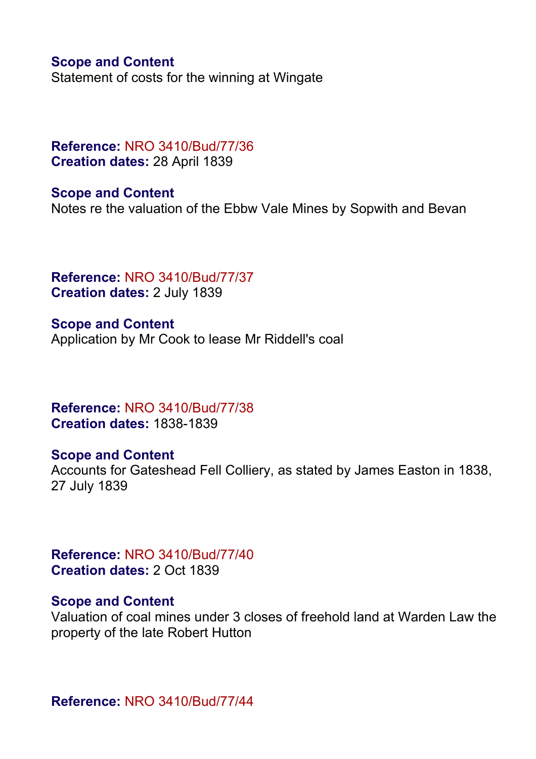Statement of costs for the winning at Wingate

## **Reference:** NRO 3410/Bud/77/36 **Creation dates:** 28 April 1839

**Scope and Content** Notes re the valuation of the Ebbw Vale Mines by Sopwith and Bevan

**Reference:** NRO 3410/Bud/77/37 **Creation dates:** 2 July 1839

**Scope and Content** Application by Mr Cook to lease Mr Riddell's coal

**Reference:** NRO 3410/Bud/77/38 **Creation dates:** 1838-1839

## **Scope and Content**

Accounts for Gateshead Fell Colliery, as stated by James Easton in 1838, 27 July 1839

**Reference:** NRO 3410/Bud/77/40 **Creation dates:** 2 Oct 1839

#### **Scope and Content**

Valuation of coal mines under 3 closes of freehold land at Warden Law the property of the late Robert Hutton

**Reference:** NRO 3410/Bud/77/44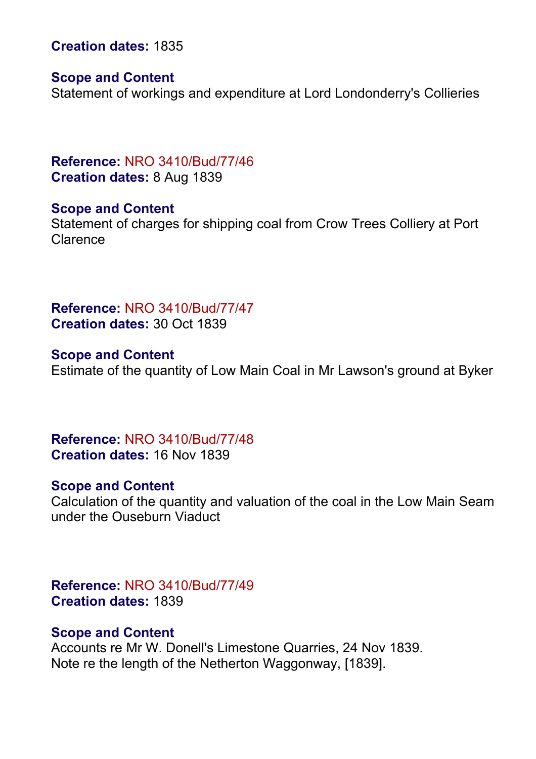**Creation dates:** 1835

#### **Scope and Content**

Statement of workings and expenditure at Lord Londonderry's Collieries

**Reference:** NRO 3410/Bud/77/46 **Creation dates:** 8 Aug 1839

**Scope and Content**

Statement of charges for shipping coal from Crow Trees Colliery at Port Clarence

**Reference:** NRO 3410/Bud/77/47 **Creation dates:** 30 Oct 1839

**Scope and Content** Estimate of the quantity of Low Main Coal in Mr Lawson's ground at Byker

**Reference:** NRO 3410/Bud/77/48 **Creation dates:** 16 Nov 1839

#### **Scope and Content**

Calculation of the quantity and valuation of the coal in the Low Main Seam under the Ouseburn Viaduct

**Reference:** NRO 3410/Bud/77/49 **Creation dates:** 1839

#### **Scope and Content**

Accounts re Mr W. Donell's Limestone Quarries, 24 Nov 1839. Note re the length of the Netherton Waggonway, [1839].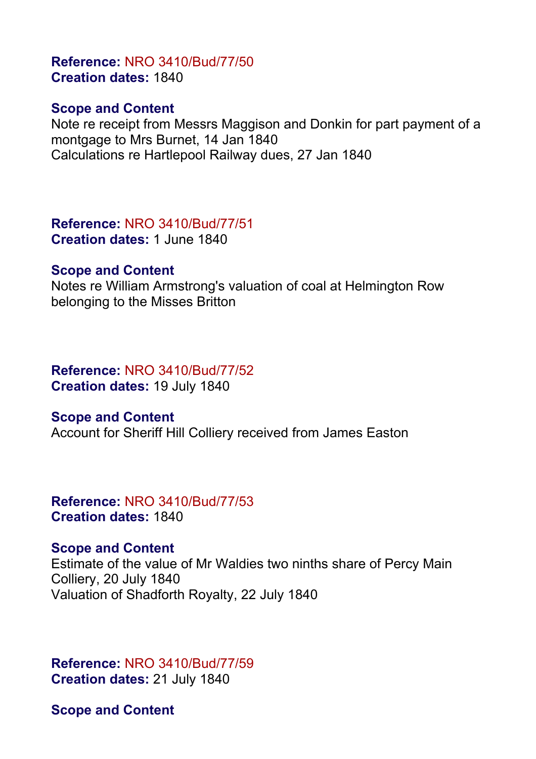## **Reference:** NRO 3410/Bud/77/50 **Creation dates:** 1840

## **Scope and Content**

Note re receipt from Messrs Maggison and Donkin for part payment of a montgage to Mrs Burnet, 14 Jan 1840 Calculations re Hartlepool Railway dues, 27 Jan 1840

**Reference:** NRO 3410/Bud/77/51 **Creation dates:** 1 June 1840

## **Scope and Content**

Notes re William Armstrong's valuation of coal at Helmington Row belonging to the Misses Britton

## **Reference:** NRO 3410/Bud/77/52 **Creation dates:** 19 July 1840

## **Scope and Content**

Account for Sheriff Hill Colliery received from James Easton

#### **Reference:** NRO 3410/Bud/77/53 **Creation dates:** 1840

## **Scope and Content**

Estimate of the value of Mr Waldies two ninths share of Percy Main Colliery, 20 July 1840 Valuation of Shadforth Royalty, 22 July 1840

**Reference:** NRO 3410/Bud/77/59 **Creation dates:** 21 July 1840

**Scope and Content**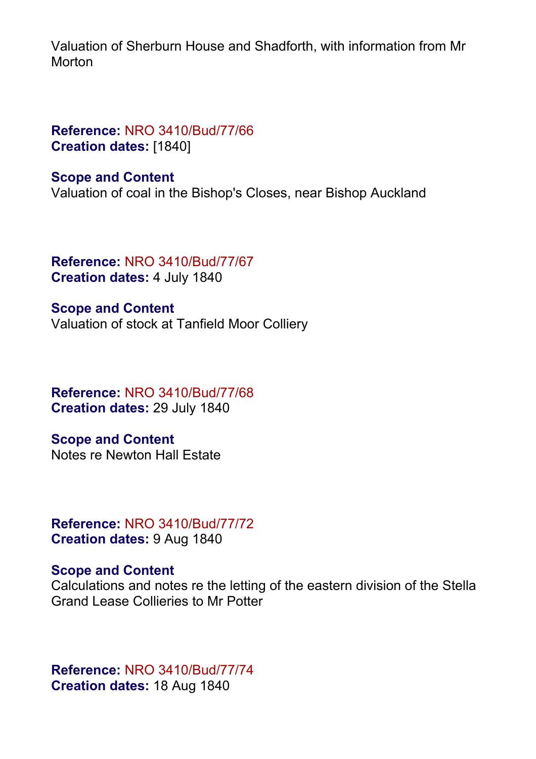Valuation of Sherburn House and Shadforth, with information from Mr **Morton** 

## **Reference:** NRO 3410/Bud/77/66 **Creation dates:** [1840]

**Scope and Content**

Valuation of coal in the Bishop's Closes, near Bishop Auckland

**Reference:** NRO 3410/Bud/77/67 **Creation dates:** 4 July 1840

**Scope and Content** Valuation of stock at Tanfield Moor Colliery

**Reference:** NRO 3410/Bud/77/68 **Creation dates:** 29 July 1840

**Scope and Content** Notes re Newton Hall Estate

**Reference:** NRO 3410/Bud/77/72 **Creation dates:** 9 Aug 1840

## **Scope and Content**

Calculations and notes re the letting of the eastern division of the Stella Grand Lease Collieries to Mr Potter

**Reference:** NRO 3410/Bud/77/74 **Creation dates:** 18 Aug 1840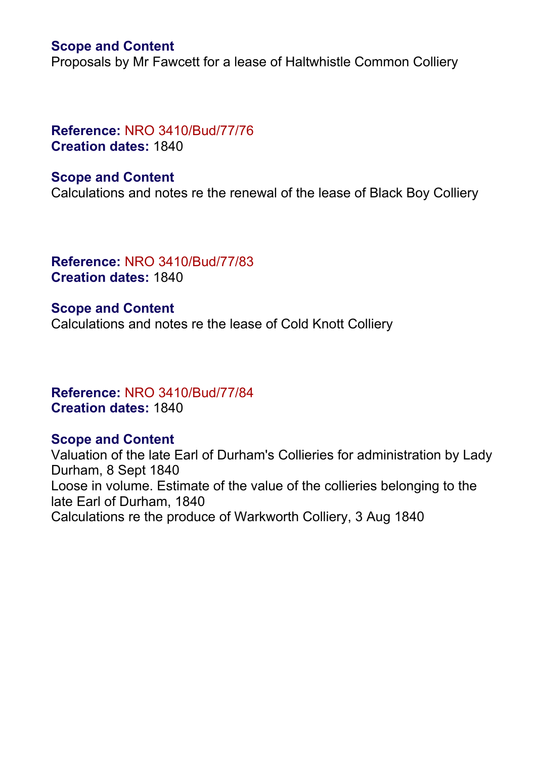Proposals by Mr Fawcett for a lease of Haltwhistle Common Colliery

## **Reference:** NRO 3410/Bud/77/76 **Creation dates:** 1840

#### **Scope and Content**

Calculations and notes re the renewal of the lease of Black Boy Colliery

**Reference:** NRO 3410/Bud/77/83 **Creation dates:** 1840

**Scope and Content** Calculations and notes re the lease of Cold Knott Colliery

## **Reference:** NRO 3410/Bud/77/84 **Creation dates:** 1840

## **Scope and Content**

Valuation of the late Earl of Durham's Collieries for administration by Lady Durham, 8 Sept 1840 Loose in volume. Estimate of the value of the collieries belonging to the late Earl of Durham, 1840 Calculations re the produce of Warkworth Colliery, 3 Aug 1840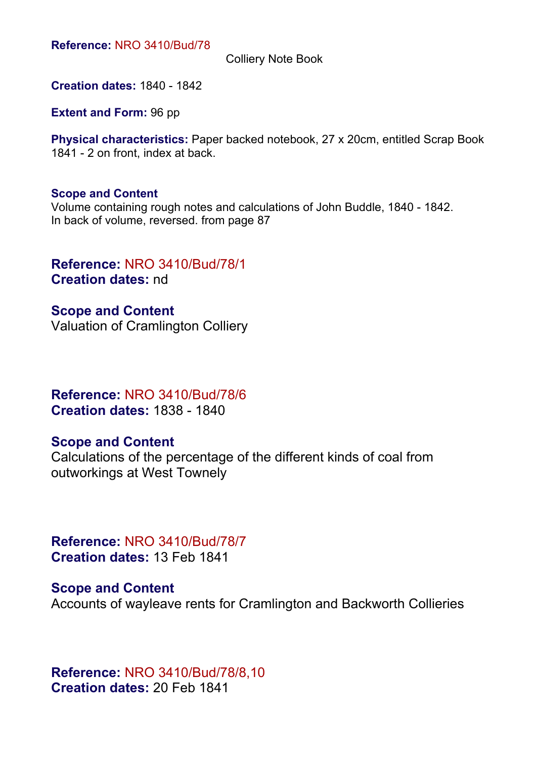Colliery Note Book

**Creation dates:** 1840 - 1842

**Extent and Form:** 96 pp

**Physical characteristics:** Paper backed notebook, 27 x 20cm, entitled Scrap Book 1841 - 2 on front, index at back.

#### **Scope and Content**

Volume containing rough notes and calculations of John Buddle, 1840 - 1842. In back of volume, reversed. from page 87

### **Reference:** NRO 3410/Bud/78/1 **Creation dates:** nd

**Scope and Content** Valuation of Cramlington Colliery

## **Reference:** NRO 3410/Bud/78/6 **Creation dates:** 1838 - 1840

#### **Scope and Content**

Calculations of the percentage of the different kinds of coal from outworkings at West Townely

**Reference:** NRO 3410/Bud/78/7 **Creation dates:** 13 Feb 1841

**Scope and Content** Accounts of wayleave rents for Cramlington and Backworth Collieries

**Reference:** NRO 3410/Bud/78/8,10 **Creation dates:** 20 Feb 1841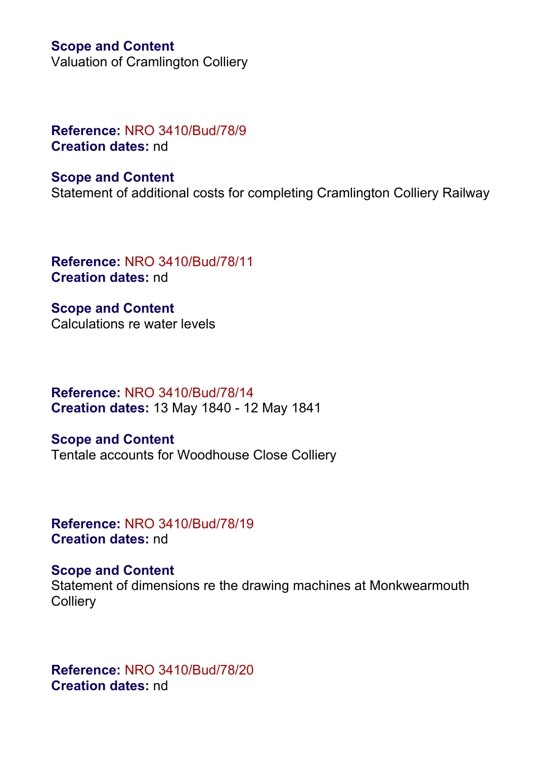Valuation of Cramlington Colliery

## **Reference:** NRO 3410/Bud/78/9 **Creation dates:** nd

## **Scope and Content**

Statement of additional costs for completing Cramlington Colliery Railway

**Reference:** NRO 3410/Bud/78/11 **Creation dates:** nd

**Scope and Content** Calculations re water levels

**Reference:** NRO 3410/Bud/78/14 **Creation dates:** 13 May 1840 - 12 May 1841

**Scope and Content** Tentale accounts for Woodhouse Close Colliery

**Reference:** NRO 3410/Bud/78/19 **Creation dates:** nd

## **Scope and Content**

Statement of dimensions re the drawing machines at Monkwearmouth **Colliery** 

**Reference:** NRO 3410/Bud/78/20 **Creation dates:** nd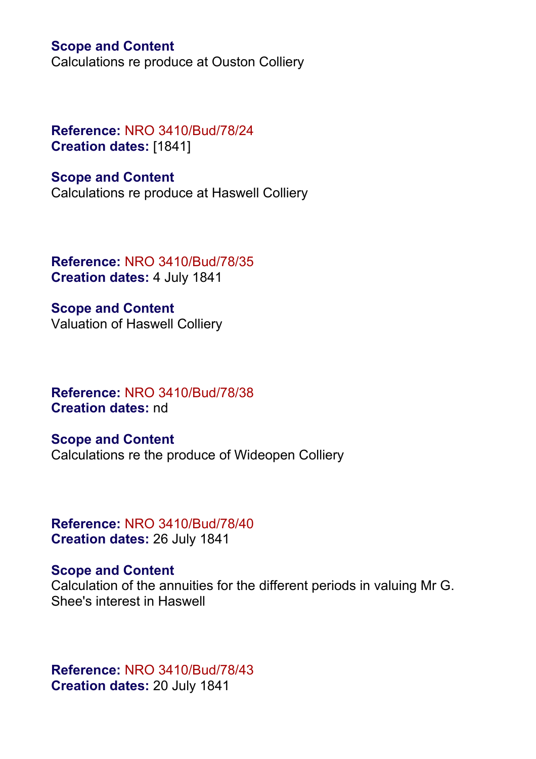Calculations re produce at Ouston Colliery

## **Reference:** NRO 3410/Bud/78/24 **Creation dates:** [1841]

#### **Scope and Content**

Calculations re produce at Haswell Colliery

**Reference:** NRO 3410/Bud/78/35 **Creation dates:** 4 July 1841

**Scope and Content** Valuation of Haswell Colliery

**Reference:** NRO 3410/Bud/78/38 **Creation dates:** nd

**Scope and Content** Calculations re the produce of Wideopen Colliery

**Reference:** NRO 3410/Bud/78/40 **Creation dates:** 26 July 1841

#### **Scope and Content**

Calculation of the annuities for the different periods in valuing Mr G. Shee's interest in Haswell

**Reference:** NRO 3410/Bud/78/43 **Creation dates:** 20 July 1841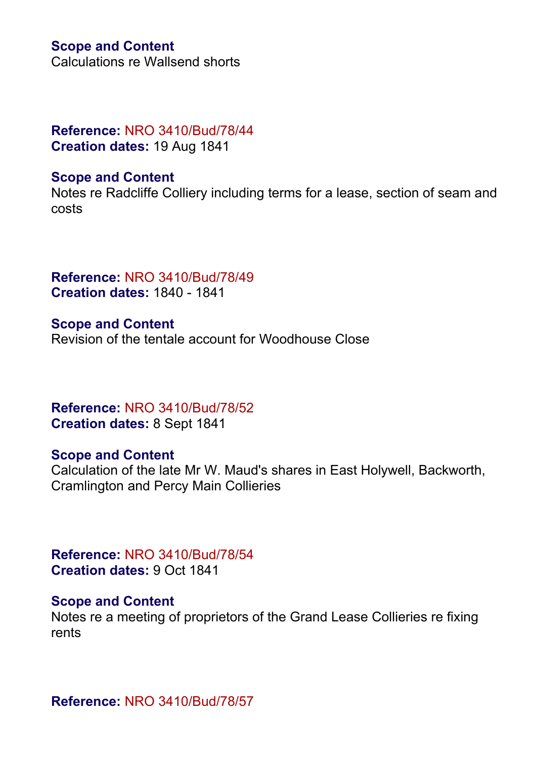Calculations re Wallsend shorts

## **Reference:** NRO 3410/Bud/78/44 **Creation dates:** 19 Aug 1841

#### **Scope and Content**

Notes re Radcliffe Colliery including terms for a lease, section of seam and costs

**Reference:** NRO 3410/Bud/78/49 **Creation dates:** 1840 - 1841

**Scope and Content** Revision of the tentale account for Woodhouse Close

**Reference:** NRO 3410/Bud/78/52 **Creation dates:** 8 Sept 1841

#### **Scope and Content**

Calculation of the late Mr W. Maud's shares in East Holywell, Backworth, Cramlington and Percy Main Collieries

**Reference:** NRO 3410/Bud/78/54 **Creation dates:** 9 Oct 1841

## **Scope and Content**

Notes re a meeting of proprietors of the Grand Lease Collieries re fixing rents

**Reference:** NRO 3410/Bud/78/57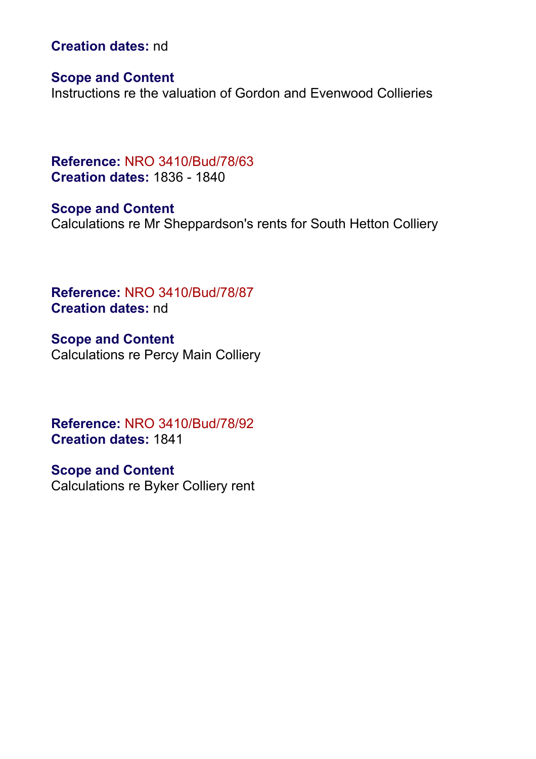**Creation dates:** nd

**Scope and Content**

Instructions re the valuation of Gordon and Evenwood Collieries

**Reference:** NRO 3410/Bud/78/63 **Creation dates:** 1836 - 1840

**Scope and Content** Calculations re Mr Sheppardson's rents for South Hetton Colliery

**Reference:** NRO 3410/Bud/78/87 **Creation dates:** nd

**Scope and Content** Calculations re Percy Main Colliery

**Reference:** NRO 3410/Bud/78/92 **Creation dates:** 1841

**Scope and Content** Calculations re Byker Colliery rent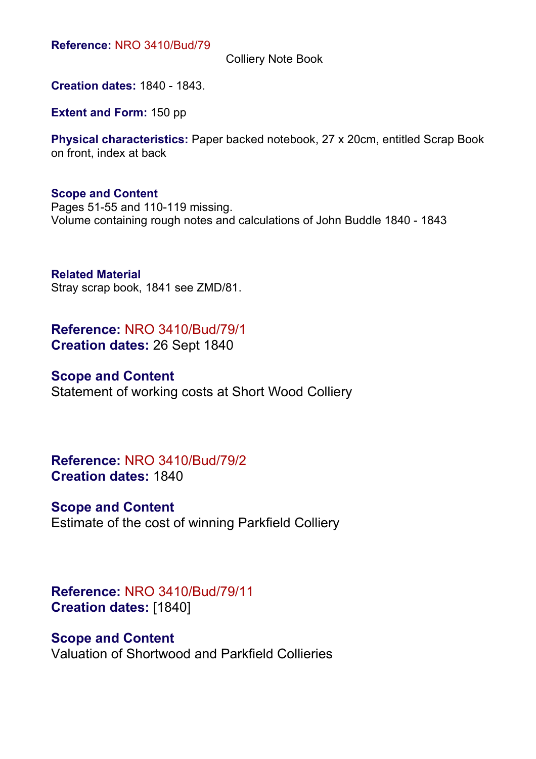Colliery Note Book

**Creation dates:** 1840 - 1843.

**Extent and Form:** 150 pp

**Physical characteristics:** Paper backed notebook, 27 x 20cm, entitled Scrap Book on front, index at back

#### **Scope and Content**

Pages 51-55 and 110-119 missing. Volume containing rough notes and calculations of John Buddle 1840 - 1843

**Related Material** Stray scrap book, 1841 see ZMD/81.

**Reference:** NRO 3410/Bud/79/1 **Creation dates:** 26 Sept 1840

## **Scope and Content**

Statement of working costs at Short Wood Colliery

**Reference:** NRO 3410/Bud/79/2 **Creation dates:** 1840

#### **Scope and Content**

Estimate of the cost of winning Parkfield Colliery

## **Reference:** NRO 3410/Bud/79/11 **Creation dates:** [1840]

#### **Scope and Content**

Valuation of Shortwood and Parkfield Collieries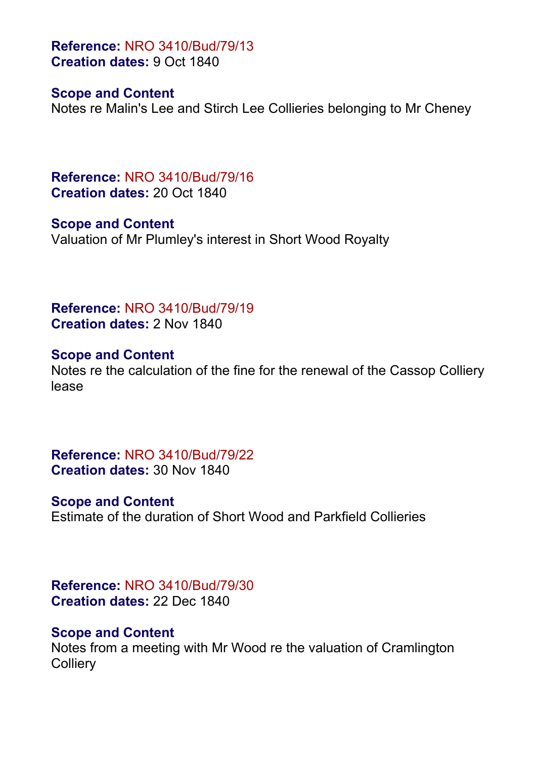**Reference:** NRO 3410/Bud/79/13 **Creation dates:** 9 Oct 1840

#### **Scope and Content**

Notes re Malin's Lee and Stirch Lee Collieries belonging to Mr Cheney

**Reference:** NRO 3410/Bud/79/16 **Creation dates:** 20 Oct 1840

**Scope and Content** Valuation of Mr Plumley's interest in Short Wood Royalty

**Reference:** NRO 3410/Bud/79/19 **Creation dates:** 2 Nov 1840

**Scope and Content** Notes re the calculation of the fine for the renewal of the Cassop Colliery lease

**Reference:** NRO 3410/Bud/79/22 **Creation dates:** 30 Nov 1840

## **Scope and Content**

Estimate of the duration of Short Wood and Parkfield Collieries

**Reference:** NRO 3410/Bud/79/30 **Creation dates:** 22 Dec 1840

#### **Scope and Content**

Notes from a meeting with Mr Wood re the valuation of Cramlington **Colliery**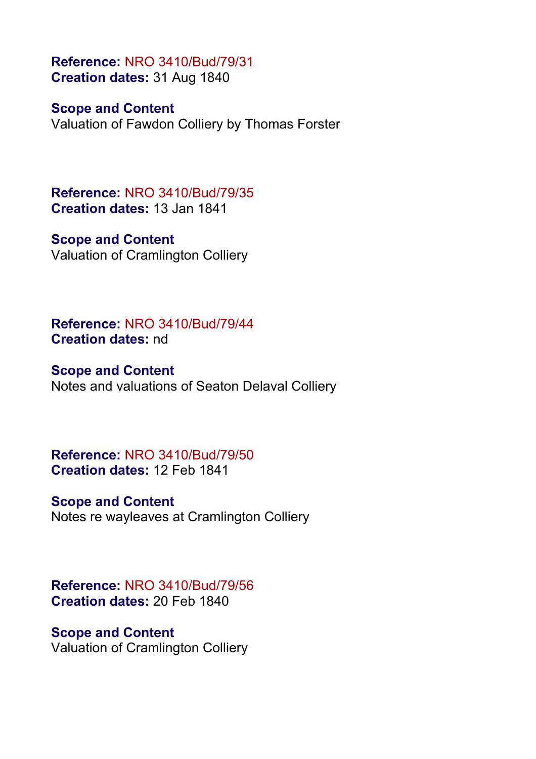**Reference:** NRO 3410/Bud/79/31 **Creation dates:** 31 Aug 1840

**Scope and Content**

Valuation of Fawdon Colliery by Thomas Forster

**Reference:** NRO 3410/Bud/79/35 **Creation dates:** 13 Jan 1841

**Scope and Content** Valuation of Cramlington Colliery

**Reference:** NRO 3410/Bud/79/44 **Creation dates:** nd

**Scope and Content** Notes and valuations of Seaton Delaval Colliery

**Reference:** NRO 3410/Bud/79/50 **Creation dates:** 12 Feb 1841

**Scope and Content** Notes re wayleaves at Cramlington Colliery

**Reference:** NRO 3410/Bud/79/56 **Creation dates:** 20 Feb 1840

**Scope and Content**

Valuation of Cramlington Colliery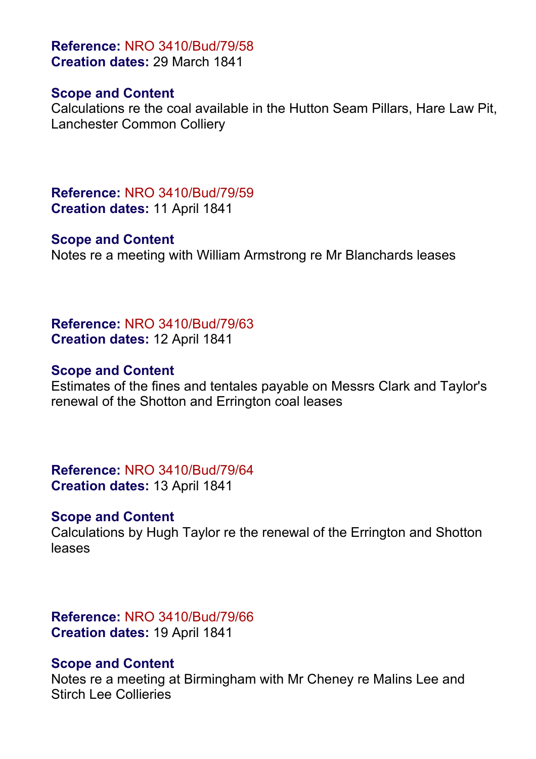**Reference:** NRO 3410/Bud/79/58 **Creation dates:** 29 March 1841

#### **Scope and Content**

Calculations re the coal available in the Hutton Seam Pillars, Hare Law Pit, Lanchester Common Colliery

**Reference:** NRO 3410/Bud/79/59 **Creation dates:** 11 April 1841

#### **Scope and Content**

Notes re a meeting with William Armstrong re Mr Blanchards leases

**Reference:** NRO 3410/Bud/79/63 **Creation dates:** 12 April 1841

#### **Scope and Content**

Estimates of the fines and tentales payable on Messrs Clark and Taylor's renewal of the Shotton and Errington coal leases

**Reference:** NRO 3410/Bud/79/64 **Creation dates:** 13 April 1841

#### **Scope and Content**

Calculations by Hugh Taylor re the renewal of the Errington and Shotton leases

**Reference:** NRO 3410/Bud/79/66 **Creation dates:** 19 April 1841

## **Scope and Content**

Notes re a meeting at Birmingham with Mr Cheney re Malins Lee and Stirch Lee Collieries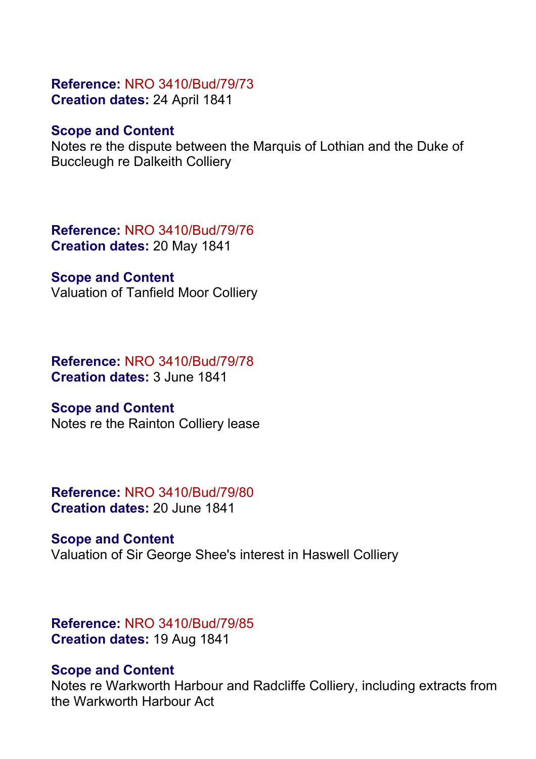#### **Reference:** NRO 3410/Bud/79/73 **Creation dates:** 24 April 1841

### **Scope and Content**

Notes re the dispute between the Marquis of Lothian and the Duke of Buccleugh re Dalkeith Colliery

**Reference:** NRO 3410/Bud/79/76 **Creation dates:** 20 May 1841

**Scope and Content**

Valuation of Tanfield Moor Colliery

**Reference:** NRO 3410/Bud/79/78 **Creation dates:** 3 June 1841

## **Scope and Content**

Notes re the Rainton Colliery lease

**Reference:** NRO 3410/Bud/79/80 **Creation dates:** 20 June 1841

**Scope and Content** Valuation of Sir George Shee's interest in Haswell Colliery

**Reference:** NRO 3410/Bud/79/85 **Creation dates:** 19 Aug 1841

## **Scope and Content**

Notes re Warkworth Harbour and Radcliffe Colliery, including extracts from the Warkworth Harbour Act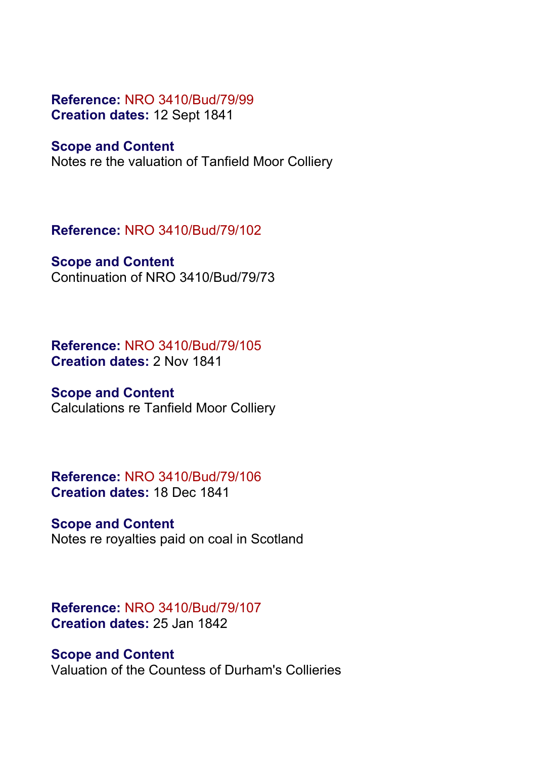#### **Reference:** NRO 3410/Bud/79/99 **Creation dates:** 12 Sept 1841

### **Scope and Content**

Notes re the valuation of Tanfield Moor Colliery

**Reference:** NRO 3410/Bud/79/102

## **Scope and Content**

Continuation of NRO 3410/Bud/79/73

**Reference:** NRO 3410/Bud/79/105 **Creation dates:** 2 Nov 1841

## **Scope and Content**

Calculations re Tanfield Moor Colliery

**Reference:** NRO 3410/Bud/79/106 **Creation dates:** 18 Dec 1841

**Scope and Content** Notes re royalties paid on coal in Scotland

## **Reference:** NRO 3410/Bud/79/107 **Creation dates:** 25 Jan 1842

**Scope and Content** Valuation of the Countess of Durham's Collieries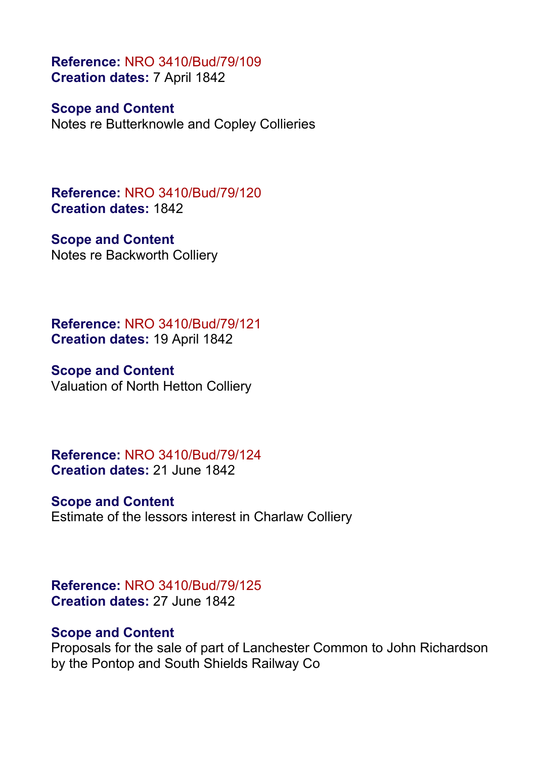**Reference:** NRO 3410/Bud/79/109 **Creation dates:** 7 April 1842

**Scope and Content**

Notes re Butterknowle and Copley Collieries

**Reference:** NRO 3410/Bud/79/120 **Creation dates:** 1842

**Scope and Content** Notes re Backworth Colliery

**Reference:** NRO 3410/Bud/79/121 **Creation dates:** 19 April 1842

**Scope and Content** Valuation of North Hetton Colliery

**Reference:** NRO 3410/Bud/79/124 **Creation dates:** 21 June 1842

**Scope and Content**

Estimate of the lessors interest in Charlaw Colliery

**Reference:** NRO 3410/Bud/79/125 **Creation dates:** 27 June 1842

## **Scope and Content**

Proposals for the sale of part of Lanchester Common to John Richardson by the Pontop and South Shields Railway Co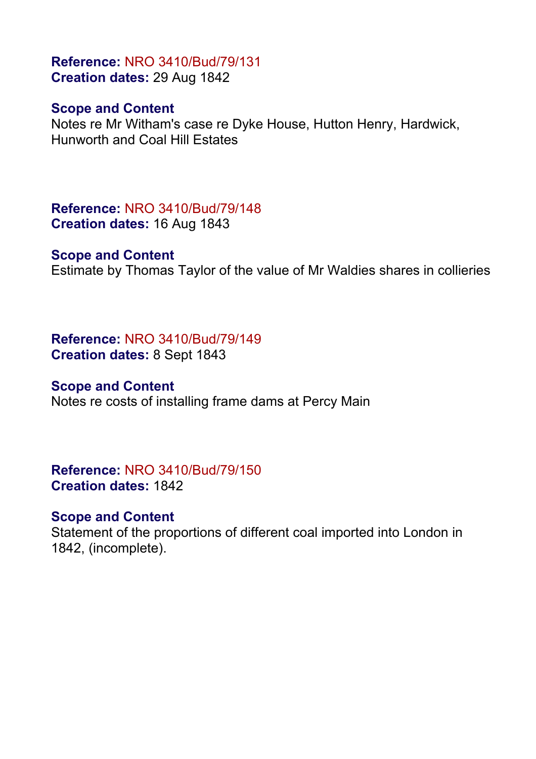## **Reference:** NRO 3410/Bud/79/131 **Creation dates:** 29 Aug 1842

## **Scope and Content**

Notes re Mr Witham's case re Dyke House, Hutton Henry, Hardwick, Hunworth and Coal Hill Estates

**Reference:** NRO 3410/Bud/79/148 **Creation dates:** 16 Aug 1843

#### **Scope and Content**

Estimate by Thomas Taylor of the value of Mr Waldies shares in collieries

**Reference:** NRO 3410/Bud/79/149 **Creation dates:** 8 Sept 1843

#### **Scope and Content**

Notes re costs of installing frame dams at Percy Main

**Reference:** NRO 3410/Bud/79/150 **Creation dates:** 1842

## **Scope and Content**

Statement of the proportions of different coal imported into London in 1842, (incomplete).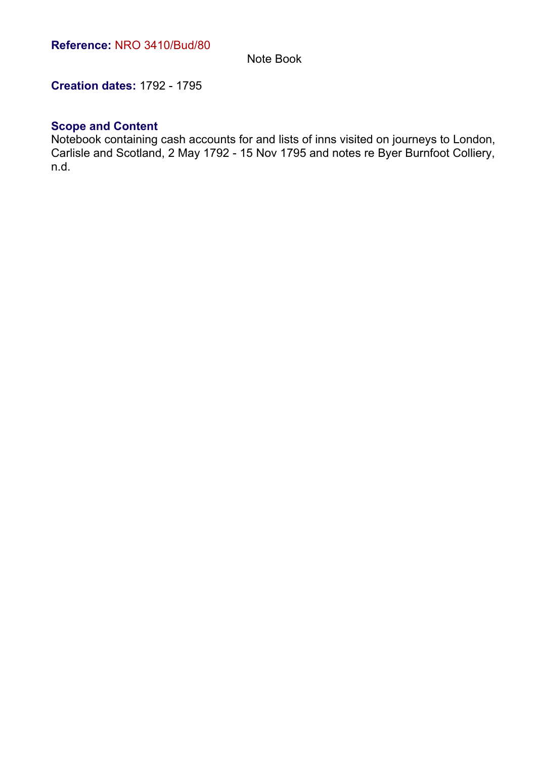Note Book

**Creation dates:** 1792 - 1795

#### **Scope and Content**

Notebook containing cash accounts for and lists of inns visited on journeys to London, Carlisle and Scotland, 2 May 1792 - 15 Nov 1795 and notes re Byer Burnfoot Colliery, n.d.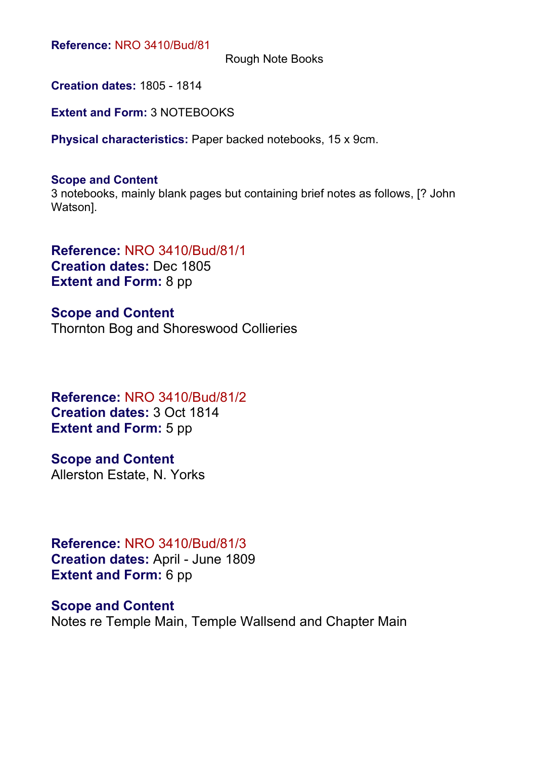Rough Note Books

**Creation dates:** 1805 - 1814

**Extent and Form:** 3 NOTEBOOKS

**Physical characteristics:** Paper backed notebooks, 15 x 9cm.

#### **Scope and Content**

3 notebooks, mainly blank pages but containing brief notes as follows, [? John Watson].

**Reference:** NRO 3410/Bud/81/1 **Creation dates:** Dec 1805 **Extent and Form:** 8 pp

**Scope and Content** Thornton Bog and Shoreswood Collieries

**Reference:** NRO 3410/Bud/81/2 **Creation dates:** 3 Oct 1814 **Extent and Form: 5 pp** 

**Scope and Content** Allerston Estate, N. Yorks

**Reference:** NRO 3410/Bud/81/3 **Creation dates:** April - June 1809 **Extent and Form:** 6 pp

**Scope and Content** Notes re Temple Main, Temple Wallsend and Chapter Main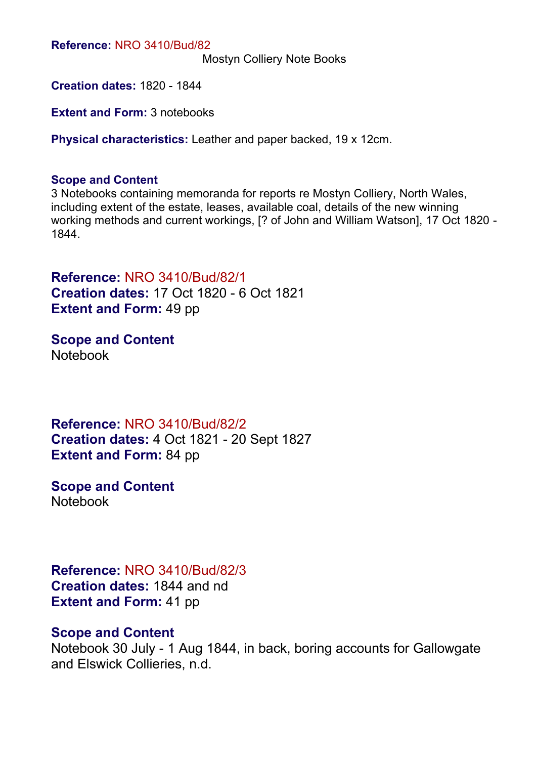Mostyn Colliery Note Books

**Creation dates:** 1820 - 1844

**Extent and Form: 3 notebooks** 

**Physical characteristics:** Leather and paper backed, 19 x 12cm.

#### **Scope and Content**

3 Notebooks containing memoranda for reports re Mostyn Colliery, North Wales, including extent of the estate, leases, available coal, details of the new winning working methods and current workings, [? of John and William Watson], 17 Oct 1820 - 1844.

**Reference:** NRO 3410/Bud/82/1 **Creation dates:** 17 Oct 1820 - 6 Oct 1821 **Extent and Form:** 49 pp

**Scope and Content** Notebook

**Reference:** NRO 3410/Bud/82/2 **Creation dates:** 4 Oct 1821 - 20 Sept 1827 **Extent and Form:** 84 pp

**Scope and Content** Notebook

**Reference:** NRO 3410/Bud/82/3 **Creation dates:** 1844 and nd **Extent and Form:** 41 pp

#### **Scope and Content**

Notebook 30 July - 1 Aug 1844, in back, boring accounts for Gallowgate and Elswick Collieries, n.d.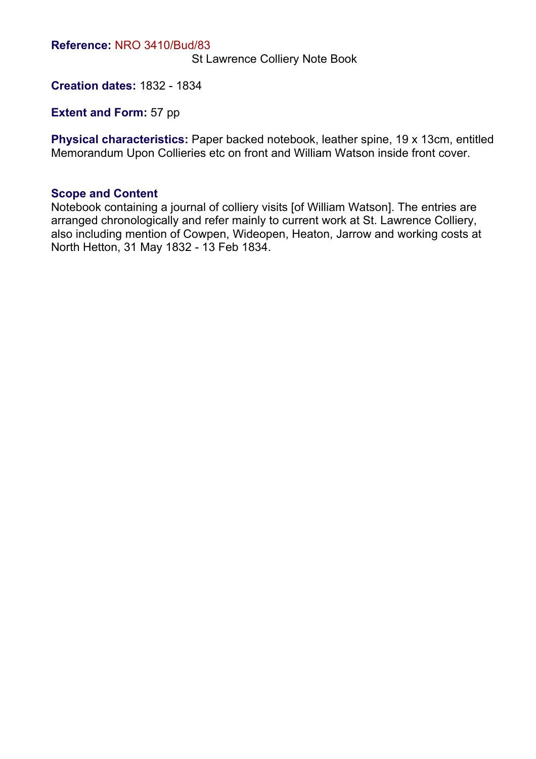St Lawrence Colliery Note Book

**Creation dates:** 1832 - 1834

**Extent and Form: 57 pp** 

**Physical characteristics:** Paper backed notebook, leather spine, 19 x 13cm, entitled Memorandum Upon Collieries etc on front and William Watson inside front cover.

#### **Scope and Content**

Notebook containing a journal of colliery visits [of William Watson]. The entries are arranged chronologically and refer mainly to current work at St. Lawrence Colliery, also including mention of Cowpen, Wideopen, Heaton, Jarrow and working costs at North Hetton, 31 May 1832 - 13 Feb 1834.